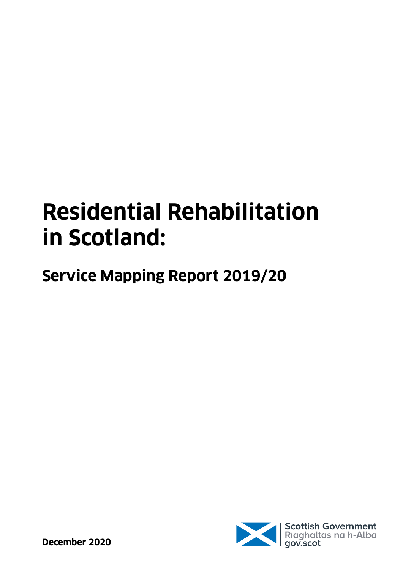# **Residential Rehabilitation in Scotland:**

**Service Mapping Report 2019/20**

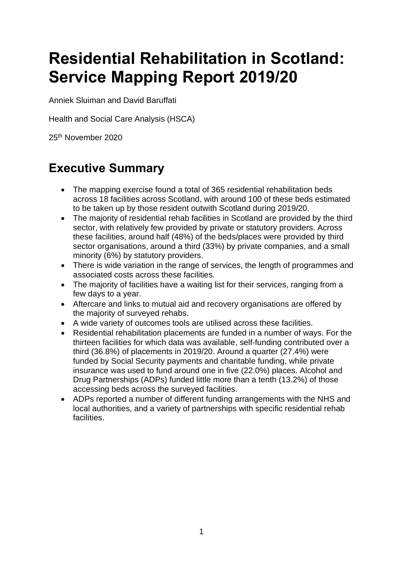### **Residential Rehabilitation in Scotland: Service Mapping Report 2019/20**

Anniek Sluiman and David Baruffati

Health and Social Care Analysis (HSCA)

25th November 2020

### **Executive Summary**

- The mapping exercise found a total of 365 residential rehabilitation beds across 18 facilities across Scotland, with around 100 of these beds estimated to be taken up by those resident outwith Scotland during 2019/20.
- The majority of residential rehab facilities in Scotland are provided by the third sector, with relatively few provided by private or statutory providers. Across these facilities, around half (48%) of the beds/places were provided by third sector organisations, around a third (33%) by private companies, and a small minority (6%) by statutory providers.
- There is wide variation in the range of services, the length of programmes and associated costs across these facilities.
- The majority of facilities have a waiting list for their services, ranging from a few days to a year.
- Aftercare and links to mutual aid and recovery organisations are offered by the majority of surveyed rehabs.
- A wide variety of outcomes tools are utilised across these facilities.
- Residential rehabilitation placements are funded in a number of ways. For the thirteen facilities for which data was available, self-funding contributed over a third (36.8%) of placements in 2019/20. Around a quarter (27.4%) were funded by Social Security payments and charitable funding, while private insurance was used to fund around one in five (22.0%) places. Alcohol and Drug Partnerships (ADPs) funded little more than a tenth (13.2%) of those accessing beds across the surveyed facilities.
- ADPs reported a number of different funding arrangements with the NHS and local authorities, and a variety of partnerships with specific residential rehab facilities.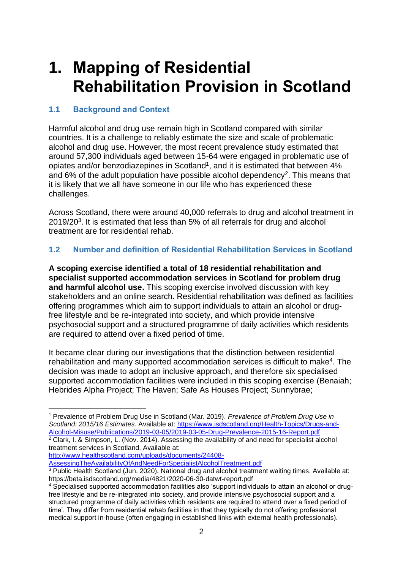### **1. Mapping of Residential Rehabilitation Provision in Scotland**

#### **1.1 Background and Context**

Harmful alcohol and drug use remain high in Scotland compared with similar countries. It is a challenge to reliably estimate the size and scale of problematic alcohol and drug use. However, the most recent prevalence study estimated that around 57,300 individuals aged between 15-64 were engaged in problematic use of opiates and/or benzodiazepines in Scotland<sup>1</sup>, and it is estimated that between 4% and 6% of the adult population have possible alcohol dependency<sup>2</sup>. This means that it is likely that we all have someone in our life who has experienced these challenges.

Across Scotland, there were around 40,000 referrals to drug and alcohol treatment in 2019/20<sup>3</sup>. It is estimated that less than 5% of all referrals for drug and alcohol treatment are for residential rehab.

#### **1.2 Number and definition of Residential Rehabilitation Services in Scotland**

**A scoping exercise identified a total of 18 residential rehabilitation and specialist supported accommodation services in Scotland for problem drug and harmful alcohol use.** This scoping exercise involved discussion with key stakeholders and an online search. Residential rehabilitation was defined as facilities offering programmes which aim to support individuals to attain an alcohol or drugfree lifestyle and be re-integrated into society, and which provide intensive psychosocial support and a structured programme of daily activities which residents are required to attend over a fixed period of time.

It became clear during our investigations that the distinction between residential rehabilitation and many supported accommodation services is difficult to make<sup>4</sup>. The decision was made to adopt an inclusive approach, and therefore six specialised supported accommodation facilities were included in this scoping exercise (Benaiah; Hebrides Alpha Project; The Haven; Safe As Houses Project; Sunnybrae;

treatment services in Scotland. Available at: [http://www.healthscotland.com/uploads/documents/24408-](http://www.healthscotland.com/uploads/documents/24408-AssessingTheAvailabilityOfAndNeedForSpecialistAlcoholTreatment.pdf)

[AssessingTheAvailabilityOfAndNeedForSpecialistAlcoholTreatment.pdf](http://www.healthscotland.com/uploads/documents/24408-AssessingTheAvailabilityOfAndNeedForSpecialistAlcoholTreatment.pdf)

<sup>1</sup> Prevalence of Problem Drug Use in Scotland (Mar. 2019). *Prevalence of Problem Drug Use in Scotland: 2015/16 Estimates.* Available at: [https://www.isdscotland.org/Health-Topics/Drugs-and-](https://www.isdscotland.org/Health-Topics/Drugs-and-Alcohol-Misuse/Publications/2019-03-05/2019-03-05-Drug-Prevalence-2015-16-Report.pdf)[Alcohol-Misuse/Publications/2019-03-05/2019-03-05-Drug-Prevalence-2015-16-Report.pdf](https://www.isdscotland.org/Health-Topics/Drugs-and-Alcohol-Misuse/Publications/2019-03-05/2019-03-05-Drug-Prevalence-2015-16-Report.pdf) <sup>2</sup> Clark, I. & Simpson, L. (Nov. 2014). Assessing the availability of and need for specialist alcohol

<sup>&</sup>lt;sup>3</sup> Public Health Scotland (Jun. 2020). National drug and alcohol treatment waiting times. Available at: https://beta.isdscotland.org/media/4821/2020-06-30-datwt-report.pdf

<sup>4</sup> Specialised supported accommodation facilities also 'support individuals to attain an alcohol or drugfree lifestyle and be re-integrated into society, and provide intensive psychosocial support and a structured programme of daily activities which residents are required to attend over a fixed period of time'. They differ from residential rehab facilities in that they typically do not offering professional medical support in-house (often engaging in established links with external health professionals).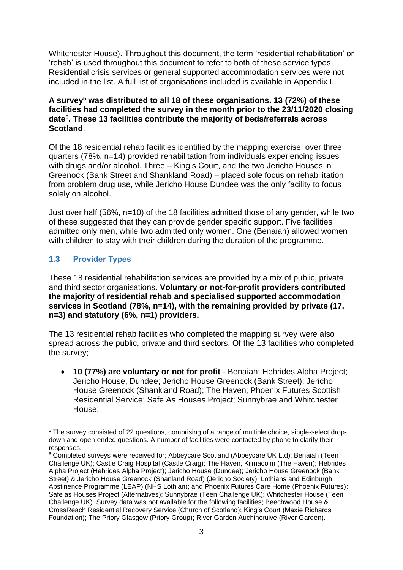Whitchester House). Throughout this document, the term 'residential rehabilitation' or 'rehab' is used throughout this document to refer to both of these service types. Residential crisis services or general supported accommodation services were not included in the list. A full list of organisations included is available in Appendix I.

#### **A survey<sup>5</sup> was distributed to all 18 of these organisations. 13 (72%) of these facilities had completed the survey in the month prior to the 23/11/2020 closing date**<sup>6</sup> **. These 13 facilities contribute the majority of beds/referrals across Scotland**.

Of the 18 residential rehab facilities identified by the mapping exercise, over three quarters (78%, n=14) provided rehabilitation from individuals experiencing issues with drugs and/or alcohol. Three – King's Court, and the two Jericho Houses in Greenock (Bank Street and Shankland Road) – placed sole focus on rehabilitation from problem drug use, while Jericho House Dundee was the only facility to focus solely on alcohol.

Just over half (56%, n=10) of the 18 facilities admitted those of any gender, while two of these suggested that they can provide gender specific support. Five facilities admitted only men, while two admitted only women. One (Benaiah) allowed women with children to stay with their children during the duration of the programme.

#### **1.3 Provider Types**

These 18 residential rehabilitation services are provided by a mix of public, private and third sector organisations. **Voluntary or not-for-profit providers contributed the majority of residential rehab and specialised supported accommodation services in Scotland (78%, n=14), with the remaining provided by private (17, n=3) and statutory (6%, n=1) providers.**

The 13 residential rehab facilities who completed the mapping survey were also spread across the public, private and third sectors. Of the 13 facilities who completed the survey;

• **10 (77%) are voluntary or not for profit** - Benaiah; Hebrides Alpha Project; Jericho House, Dundee; Jericho House Greenock (Bank Street); Jericho House Greenock (Shankland Road); The Haven; Phoenix Futures Scottish Residential Service; Safe As Houses Project; Sunnybrae and Whitchester House;

<sup>&</sup>lt;sup>5</sup> The survey consisted of 22 questions, comprising of a range of multiple choice, single-select dropdown and open-ended questions. A number of facilities were contacted by phone to clarify their responses.

<sup>&</sup>lt;sup>6</sup> Completed surveys were received for; Abbeycare Scotland (Abbeycare UK Ltd); Benaiah (Teen Challenge UK); Castle Craig Hospital (Castle Craig); The Haven, Kilmacolm (The Haven); Hebrides Alpha Project (Hebrides Alpha Project); Jericho House (Dundee); Jericho House Greenock (Bank Street) & Jericho House Greenock (Shanland Road) (Jericho Society); Lothians and Edinburgh Abstinence Programme (LEAP) (NHS Lothian); and Phoenix Futures Care Home (Phoenix Futures); Safe as Houses Project (Alternatives); Sunnybrae (Teen Challenge UK); Whitchester House (Teen Challenge UK). Survey data was not available for the following facilities; Beechwood House & CrossReach Residential Recovery Service (Church of Scotland); King's Court (Maxie Richards Foundation); The Priory Glasgow (Priory Group); River Garden Auchincruive (River Garden).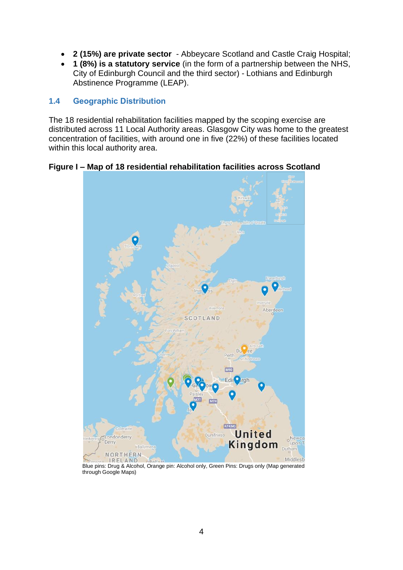- **2 (15%) are private sector** Abbeycare Scotland and Castle Craig Hospital;
- **1 (8%) is a statutory service** (in the form of a partnership between the NHS, City of Edinburgh Council and the third sector) - Lothians and Edinburgh Abstinence Programme (LEAP).

#### **1.4 Geographic Distribution**

The 18 residential rehabilitation facilities mapped by the scoping exercise are distributed across 11 Local Authority areas. Glasgow City was home to the greatest concentration of facilities, with around one in five (22%) of these facilities located within this local authority area.

#### **Figure I – Map of 18 residential rehabilitation facilities across Scotland**



Blue pins: Drug & Alcohol, Orange pin: Alcohol only, Green Pins: Drugs only (Map generated through Google Maps)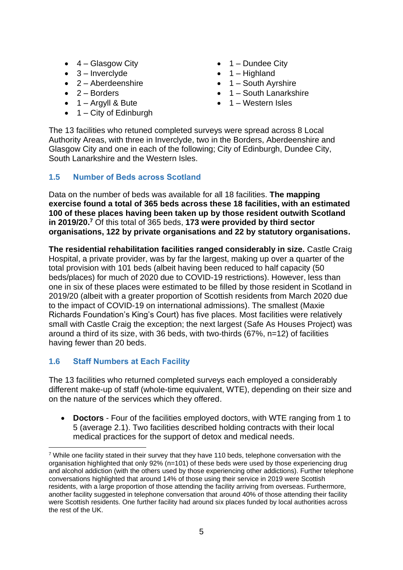- $\bullet$  4 Glasgow City
- $\bullet$  3 Inverclyde
- $\bullet$  2 Aberdeenshire
- $\bullet$  2 Borders
- $\bullet$  1 Argyll & Bute
- $\bullet$  1 City of Edinburgh
- $\bullet$  1 Dundee City
- $\bullet$  1 Highland
- 1 South Avrshire
- 1 South Lanarkshire
- $\bullet$  1 Western Isles

The 13 facilities who retuned completed surveys were spread across 8 Local Authority Areas, with three in Inverclyde, two in the Borders, Aberdeenshire and Glasgow City and one in each of the following; City of Edinburgh, Dundee City, South Lanarkshire and the Western Isles.

#### **1.5 Number of Beds across Scotland**

Data on the number of beds was available for all 18 facilities. **The mapping exercise found a total of 365 beds across these 18 facilities, with an estimated 100 of these places having been taken up by those resident outwith Scotland in 2019/20. <sup>7</sup>** Of this total of 365 beds, **173 were provided by third sector organisations, 122 by private organisations and 22 by statutory organisations.**

**The residential rehabilitation facilities ranged considerably in size.** Castle Craig Hospital, a private provider, was by far the largest, making up over a quarter of the total provision with 101 beds (albeit having been reduced to half capacity (50 beds/places) for much of 2020 due to COVID-19 restrictions). However, less than one in six of these places were estimated to be filled by those resident in Scotland in 2019/20 (albeit with a greater proportion of Scottish residents from March 2020 due to the impact of COVID-19 on international admissions). The smallest (Maxie Richards Foundation's King's Court) has five places. Most facilities were relatively small with Castle Craig the exception; the next largest (Safe As Houses Project) was around a third of its size, with 36 beds, with two-thirds (67%, n=12) of facilities having fewer than 20 beds.

#### **1.6 Staff Numbers at Each Facility**

The 13 facilities who returned completed surveys each employed a considerably different make-up of staff (whole-time equivalent, WTE), depending on their size and on the nature of the services which they offered.

• **Doctors** - Four of the facilities employed doctors, with WTE ranging from 1 to 5 (average 2.1). Two facilities described holding contracts with their local medical practices for the support of detox and medical needs.

<sup>&</sup>lt;sup>7</sup> While one facility stated in their survey that they have 110 beds, telephone conversation with the organisation highlighted that only 92% (n=101) of these beds were used by those experiencing drug and alcohol addiction (with the others used by those experiencing other addictions). Further telephone conversations highlighted that around 14% of those using their service in 2019 were Scottish residents, with a large proportion of those attending the facility arriving from overseas. Furthermore, another facility suggested in telephone conversation that around 40% of those attending their facility were Scottish residents. One further facility had around six places funded by local authorities across the rest of the UK.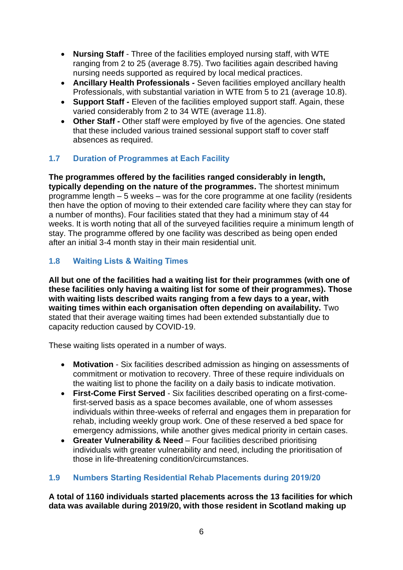- **Nursing Staff** Three of the facilities employed nursing staff, with WTE ranging from 2 to 25 (average 8.75). Two facilities again described having nursing needs supported as required by local medical practices.
- **Ancillary Health Professionals** *-* Seven facilities employed ancillary health Professionals, with substantial variation in WTE from 5 to 21 (average 10.8).
- **Support Staff** *-* Eleven of the facilities employed support staff. Again, these varied considerably from 2 to 34 WTE (average 11.8).
- **Other Staff** *-* Other staff were employed by five of the agencies. One stated that these included various trained sessional support staff to cover staff absences as required.

#### **1.7 Duration of Programmes at Each Facility**

**The programmes offered by the facilities ranged considerably in length, typically depending on the nature of the programmes.** The shortest minimum programme length – 5 weeks – was for the core programme at one facility (residents then have the option of moving to their extended care facility where they can stay for a number of months). Four facilities stated that they had a minimum stay of 44 weeks. It is worth noting that all of the surveyed facilities require a minimum length of stay. The programme offered by one facility was described as being open ended after an initial 3-4 month stay in their main residential unit.

#### **1.8 Waiting Lists & Waiting Times**

**All but one of the facilities had a waiting list for their programmes (with one of these facilities only having a waiting list for some of their programmes). Those with waiting lists described waits ranging from a few days to a year, with waiting times within each organisation often depending on availability.** Two stated that their average waiting times had been extended substantially due to capacity reduction caused by COVID-19.

These waiting lists operated in a number of ways.

- **Motivation** Six facilities described admission as hinging on assessments of commitment or motivation to recovery. Three of these require individuals on the waiting list to phone the facility on a daily basis to indicate motivation.
- **First-Come First Served** Six facilities described operating on a first-comefirst-served basis as a space becomes available, one of whom assesses individuals within three-weeks of referral and engages them in preparation for rehab, including weekly group work. One of these reserved a bed space for emergency admissions, while another gives medical priority in certain cases.
- **Greater Vulnerability & Need** Four facilities described prioritising individuals with greater vulnerability and need, including the prioritisation of those in life-threatening condition/circumstances.

#### **1.9 Numbers Starting Residential Rehab Placements during 2019/20**

**A total of 1160 individuals started placements across the 13 facilities for which data was available during 2019/20, with those resident in Scotland making up**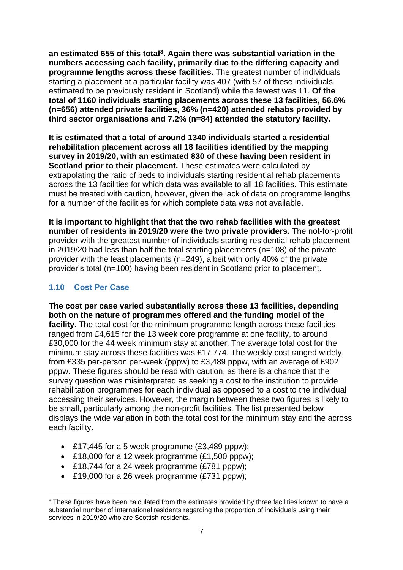**an estimated 655 of this total<sup>8</sup> . Again there was substantial variation in the numbers accessing each facility, primarily due to the differing capacity and programme lengths across these facilities.** The greatest number of individuals starting a placement at a particular facility was 407 (with 57 of these individuals estimated to be previously resident in Scotland) while the fewest was 11. **Of the total of 1160 individuals starting placements across these 13 facilities, 56.6% (n=656) attended private facilities, 36% (n=420) attended rehabs provided by third sector organisations and 7.2% (n=84) attended the statutory facility.**

**It is estimated that a total of around 1340 individuals started a residential rehabilitation placement across all 18 facilities identified by the mapping survey in 2019/20, with an estimated 830 of these having been resident in Scotland prior to their placement.** These estimates were calculated by extrapolating the ratio of beds to individuals starting residential rehab placements across the 13 facilities for which data was available to all 18 facilities. This estimate must be treated with caution, however, given the lack of data on programme lengths for a number of the facilities for which complete data was not available.

**It is important to highlight that that the two rehab facilities with the greatest number of residents in 2019/20 were the two private providers.** The not-for-profit provider with the greatest number of individuals starting residential rehab placement in 2019/20 had less than half the total starting placements (n=108) of the private provider with the least placements (n=249), albeit with only 40% of the private provider's total (n=100) having been resident in Scotland prior to placement.

#### **1.10 Cost Per Case**

**The cost per case varied substantially across these 13 facilities, depending both on the nature of programmes offered and the funding model of the facility.** The total cost for the minimum programme length across these facilities ranged from £4,615 for the 13 week core programme at one facility, to around £30,000 for the 44 week minimum stay at another. The average total cost for the minimum stay across these facilities was £17,774. The weekly cost ranged widely, from £335 per-person per-week (pppw) to £3,489 pppw, with an average of £902 pppw. These figures should be read with caution, as there is a chance that the survey question was misinterpreted as seeking a cost to the institution to provide rehabilitation programmes for each individual as opposed to a cost to the individual accessing their services. However, the margin between these two figures is likely to be small, particularly among the non-profit facilities. The list presented below displays the wide variation in both the total cost for the minimum stay and the across each facility.

- £17,445 for a 5 week programme (£3,489 pppw);
- £18,000 for a 12 week programme (£1,500 pppw);
- £18,744 for a 24 week programme (£781 pppw);
- £19,000 for a 26 week programme (£731 pppw);

<sup>&</sup>lt;sup>8</sup> These figures have been calculated from the estimates provided by three facilities known to have a substantial number of international residents regarding the proportion of individuals using their services in 2019/20 who are Scottish residents.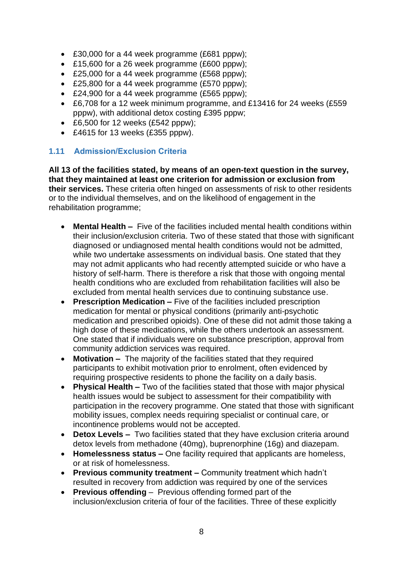- £30,000 for a 44 week programme (£681 pppw);
- £15,600 for a 26 week programme (£600 pppw);
- £25,000 for a 44 week programme (£568 pppw);
- £25,800 for a 44 week programme (£570 pppw);
- £24,900 for a 44 week programme (£565 pppw);
- £6,708 for a 12 week minimum programme, and £13416 for 24 weeks (£559 pppw), with additional detox costing £395 pppw;
- £6,500 for 12 weeks (£542 pppw):
- £4615 for 13 weeks (£355 pppw).

#### **1.11 Admission/Exclusion Criteria**

**All 13 of the facilities stated, by means of an open-text question in the survey, that they maintained at least one criterion for admission or exclusion from their services.** These criteria often hinged on assessments of risk to other residents or to the individual themselves, and on the likelihood of engagement in the rehabilitation programme;

- **Mental Health –** Five of the facilities included mental health conditions within their inclusion/exclusion criteria. Two of these stated that those with significant diagnosed or undiagnosed mental health conditions would not be admitted, while two undertake assessments on individual basis. One stated that they may not admit applicants who had recently attempted suicide or who have a history of self-harm. There is therefore a risk that those with ongoing mental health conditions who are excluded from rehabilitation facilities will also be excluded from mental health services due to continuing substance use.
- **Prescription Medication –** Five of the facilities included prescription medication for mental or physical conditions (primarily anti-psychotic medication and prescribed opioids). One of these did not admit those taking a high dose of these medications, while the others undertook an assessment. One stated that if individuals were on substance prescription, approval from community addiction services was required.
- **Motivation –** The majority of the facilities stated that they required participants to exhibit motivation prior to enrolment, often evidenced by requiring prospective residents to phone the facility on a daily basis.
- **Physical Health –** Two of the facilities stated that those with major physical health issues would be subject to assessment for their compatibility with participation in the recovery programme. One stated that those with significant mobility issues, complex needs requiring specialist or continual care, or incontinence problems would not be accepted.
- **Detox Levels –** Two facilities stated that they have exclusion criteria around detox levels from methadone (40mg), buprenorphine (16g) and diazepam.
- **Homelessness status –** One facility required that applicants are homeless, or at risk of homelessness.
- **Previous community treatment –** Community treatment which hadn't resulted in recovery from addiction was required by one of the services
- **Previous offending**  Previous offending formed part of the inclusion/exclusion criteria of four of the facilities. Three of these explicitly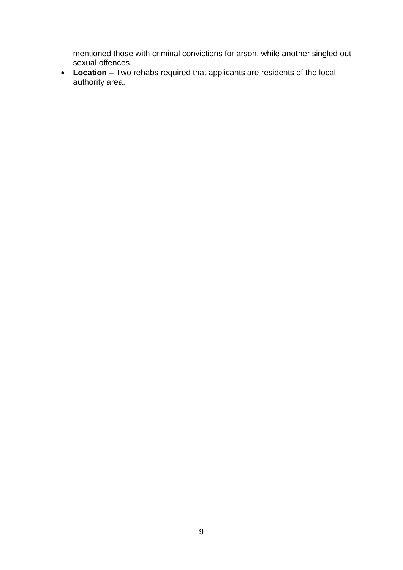mentioned those with criminal convictions for arson, while another singled out sexual offences.

• **Location –** Two rehabs required that applicants are residents of the local authority area.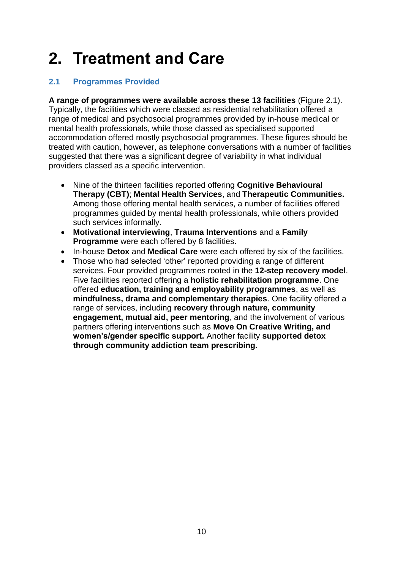## **2. Treatment and Care**

#### **2.1 Programmes Provided**

**A range of programmes were available across these 13 facilities** (Figure 2.1). Typically, the facilities which were classed as residential rehabilitation offered a range of medical and psychosocial programmes provided by in-house medical or mental health professionals, while those classed as specialised supported accommodation offered mostly psychosocial programmes. These figures should be treated with caution, however, as telephone conversations with a number of facilities suggested that there was a significant degree of variability in what individual providers classed as a specific intervention.

- Nine of the thirteen facilities reported offering **Cognitive Behavioural Therapy (CBT)**; **Mental Health Services**, and **Therapeutic Communities.** Among those offering mental health services, a number of facilities offered programmes guided by mental health professionals, while others provided such services informally.
- **Motivational interviewing**, **Trauma Interventions** and a **Family Programme** were each offered by 8 facilities.
- In-house **Detox** and **Medical Care** were each offered by six of the facilities.
- Those who had selected 'other' reported providing a range of different services. Four provided programmes rooted in the **12-step recovery model**. Five facilities reported offering a **holistic rehabilitation programme**. One offered **education, training and employability programmes**, as well as **mindfulness, drama and complementary therapies**. One facility offered a range of services, including **recovery through nature, community engagement, mutual aid, peer mentoring**, and the involvement of various partners offering interventions such as **Move On Creative Writing, and women's/gender specific support.** Another facility **supported detox through community addiction team prescribing.**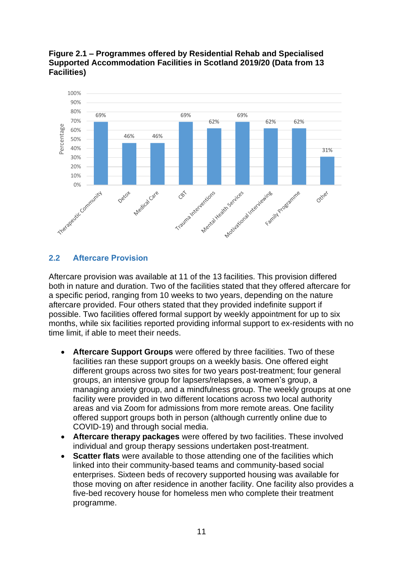#### **Figure 2.1 – Programmes offered by Residential Rehab and Specialised Supported Accommodation Facilities in Scotland 2019/20 (Data from 13 Facilities)**



#### **2.2 Aftercare Provision**

Aftercare provision was available at 11 of the 13 facilities. This provision differed both in nature and duration. Two of the facilities stated that they offered aftercare for a specific period, ranging from 10 weeks to two years, depending on the nature aftercare provided. Four others stated that they provided indefinite support if possible. Two facilities offered formal support by weekly appointment for up to six months, while six facilities reported providing informal support to ex-residents with no time limit, if able to meet their needs.

- **Aftercare Support Groups** were offered by three facilities. Two of these facilities ran these support groups on a weekly basis. One offered eight different groups across two sites for two years post-treatment; four general groups, an intensive group for lapsers/relapses, a women's group, a managing anxiety group, and a mindfulness group. The weekly groups at one facility were provided in two different locations across two local authority areas and via Zoom for admissions from more remote areas. One facility offered support groups both in person (although currently online due to COVID-19) and through social media.
- **Aftercare therapy packages** were offered by two facilities. These involved individual and group therapy sessions undertaken post-treatment.
- **Scatter flats** were available to those attending one of the facilities which linked into their community-based teams and community-based social enterprises. Sixteen beds of recovery supported housing was available for those moving on after residence in another facility. One facility also provides a five-bed recovery house for homeless men who complete their treatment programme.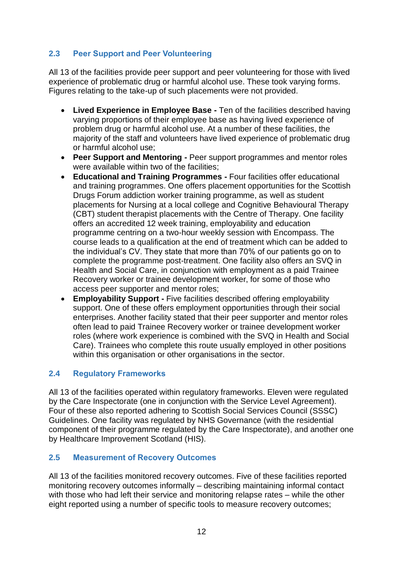#### **2.3 Peer Support and Peer Volunteering**

All 13 of the facilities provide peer support and peer volunteering for those with lived experience of problematic drug or harmful alcohol use. These took varying forms. Figures relating to the take-up of such placements were not provided.

- **Lived Experience in Employee Base -** Ten of the facilities described having varying proportions of their employee base as having lived experience of problem drug or harmful alcohol use. At a number of these facilities, the majority of the staff and volunteers have lived experience of problematic drug or harmful alcohol use;
- **Peer Support and Mentoring -** Peer support programmes and mentor roles were available within two of the facilities;
- **Educational and Training Programmes -** Four facilities offer educational and training programmes. One offers placement opportunities for the Scottish Drugs Forum addiction worker training programme, as well as student placements for Nursing at a local college and Cognitive Behavioural Therapy (CBT) student therapist placements with the Centre of Therapy. One facility offers an accredited 12 week training, employability and education programme centring on a two-hour weekly session with Encompass. The course leads to a qualification at the end of treatment which can be added to the individual's CV. They state that more than 70% of our patients go on to complete the programme post-treatment. One facility also offers an SVQ in Health and Social Care, in conjunction with employment as a paid Trainee Recovery worker or trainee development worker, for some of those who access peer supporter and mentor roles;
- **Employability Support -** Five facilities described offering employability support. One of these offers employment opportunities through their social enterprises. Another facility stated that their peer supporter and mentor roles often lead to paid Trainee Recovery worker or trainee development worker roles (where work experience is combined with the SVQ in Health and Social Care). Trainees who complete this route usually employed in other positions within this organisation or other organisations in the sector.

#### **2.4 Regulatory Frameworks**

All 13 of the facilities operated within regulatory frameworks. Eleven were regulated by the Care Inspectorate (one in conjunction with the Service Level Agreement). Four of these also reported adhering to Scottish Social Services Council (SSSC) Guidelines. One facility was regulated by NHS Governance (with the residential component of their programme regulated by the Care Inspectorate), and another one by Healthcare Improvement Scotland (HIS).

#### **2.5 Measurement of Recovery Outcomes**

All 13 of the facilities monitored recovery outcomes. Five of these facilities reported monitoring recovery outcomes informally – describing maintaining informal contact with those who had left their service and monitoring relapse rates – while the other eight reported using a number of specific tools to measure recovery outcomes;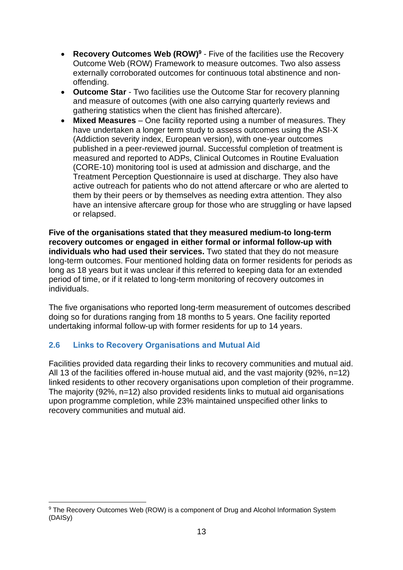- **Recovery Outcomes Web (ROW)<sup>9</sup>** Five of the facilities use the Recovery Outcome Web (ROW) Framework to measure outcomes. Two also assess externally corroborated outcomes for continuous total abstinence and nonoffending.
- **Outcome Star** Two facilities use the Outcome Star for recovery planning and measure of outcomes (with one also carrying quarterly reviews and gathering statistics when the client has finished aftercare).
- **Mixed Measures**  One facility reported using a number of measures. They have undertaken a longer term study to assess outcomes using the ASI-X (Addiction severity index, European version), with one-year outcomes published in a peer-reviewed journal. Successful completion of treatment is measured and reported to ADPs, Clinical Outcomes in Routine Evaluation (CORE-10) monitoring tool is used at admission and discharge, and the Treatment Perception Questionnaire is used at discharge. They also have active outreach for patients who do not attend aftercare or who are alerted to them by their peers or by themselves as needing extra attention. They also have an intensive aftercare group for those who are struggling or have lapsed or relapsed.

**Five of the organisations stated that they measured medium-to long-term recovery outcomes or engaged in either formal or informal follow-up with individuals who had used their services.** Two stated that they do not measure long-term outcomes. Four mentioned holding data on former residents for periods as long as 18 years but it was unclear if this referred to keeping data for an extended period of time, or if it related to long-term monitoring of recovery outcomes in individuals.

The five organisations who reported long-term measurement of outcomes described doing so for durations ranging from 18 months to 5 years. One facility reported undertaking informal follow-up with former residents for up to 14 years.

#### **2.6 Links to Recovery Organisations and Mutual Aid**

Facilities provided data regarding their links to recovery communities and mutual aid. All 13 of the facilities offered in-house mutual aid, and the vast majority (92%, n=12) linked residents to other recovery organisations upon completion of their programme. The majority (92%, n=12) also provided residents links to mutual aid organisations upon programme completion, while 23% maintained unspecified other links to recovery communities and mutual aid.

<sup>&</sup>lt;sup>9</sup> The Recovery Outcomes Web (ROW) is a component of Drug and Alcohol Information System (DAISy)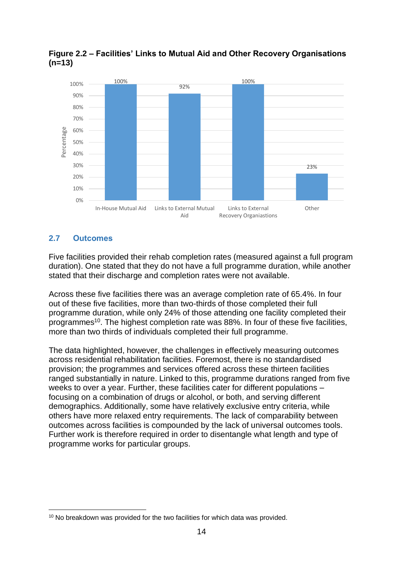

**Figure 2.2 – Facilities' Links to Mutual Aid and Other Recovery Organisations (n=13)**

#### **2.7 Outcomes**

Five facilities provided their rehab completion rates (measured against a full program duration). One stated that they do not have a full programme duration, while another stated that their discharge and completion rates were not available.

Across these five facilities there was an average completion rate of 65.4%. In four out of these five facilities, more than two-thirds of those completed their full programme duration, while only 24% of those attending one facility completed their programmes<sup>10</sup>. The highest completion rate was 88%. In four of these five facilities, more than two thirds of individuals completed their full programme.

The data highlighted, however, the challenges in effectively measuring outcomes across residential rehabilitation facilities. Foremost, there is no standardised provision; the programmes and services offered across these thirteen facilities ranged substantially in nature. Linked to this, programme durations ranged from five weeks to over a year. Further, these facilities cater for different populations – focusing on a combination of drugs or alcohol, or both, and serving different demographics. Additionally, some have relatively exclusive entry criteria, while others have more relaxed entry requirements. The lack of comparability between outcomes across facilities is compounded by the lack of universal outcomes tools. Further work is therefore required in order to disentangle what length and type of programme works for particular groups.

<sup>&</sup>lt;sup>10</sup> No breakdown was provided for the two facilities for which data was provided.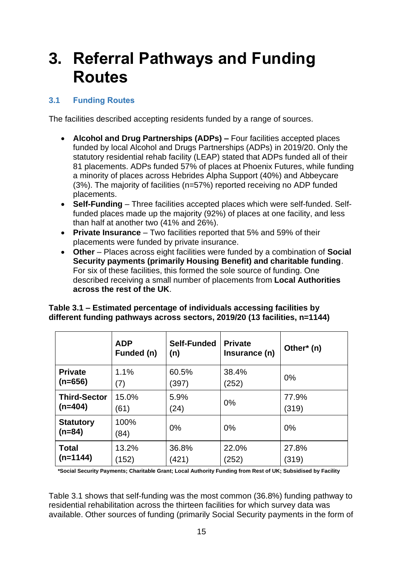### **3. Referral Pathways and Funding Routes**

#### **3.1 Funding Routes**

The facilities described accepting residents funded by a range of sources.

- **Alcohol and Drug Partnerships (ADPs) –** Four facilities accepted places funded by local Alcohol and Drugs Partnerships (ADPs) in 2019/20. Only the statutory residential rehab facility (LEAP) stated that ADPs funded all of their 81 placements. ADPs funded 57% of places at Phoenix Futures, while funding a minority of places across Hebrides Alpha Support (40%) and Abbeycare (3%). The majority of facilities (n=57%) reported receiving no ADP funded placements.
- **Self-Funding** Three facilities accepted places which were self-funded. Selffunded places made up the majority (92%) of places at one facility, and less than half at another two (41% and 26%).
- **Private Insurance**  Two facilities reported that 5% and 59% of their placements were funded by private insurance.
- **Other**  Places across eight facilities were funded by a combination of **Social Security payments (primarily Housing Benefit) and charitable funding**. For six of these facilities, this formed the sole source of funding. One described receiving a small number of placements from **Local Authorities across the rest of the UK**.

| Table 3.1 – Estimated percentage of individuals accessing facilities by    |
|----------------------------------------------------------------------------|
| different funding pathways across sectors, 2019/20 (13 facilities, n=1144) |

|                              | <b>ADP</b><br>Funded (n) | Self-Funded<br>(n) | <b>Private</b><br>Insurance (n) | Other* (n) |
|------------------------------|--------------------------|--------------------|---------------------------------|------------|
| <b>Private</b>               | 1.1%                     | 60.5%              | 38.4%                           | $0\%$      |
| $(n=656)$                    | (7)                      | (397)              | (252)                           |            |
| <b>Third-Sector</b>          | 15.0%                    | 5.9%               | 0%                              | 77.9%      |
| $(n=404)$                    | (61)                     | (24)               |                                 | (319)      |
| <b>Statutory</b><br>$(n=84)$ | 100%<br>(84)             | 0%                 | 0%                              | $0\%$      |
| <b>Total</b>                 | 13.2%                    | 36.8%              | 22.0%                           | 27.8%      |
| (n=1144)                     | (152)                    | (421)              | (252)                           | (319)      |

 **\*Social Security Payments; Charitable Grant; Local Authority Funding from Rest of UK; Subsidised by Facility**

Table 3.1 shows that self-funding was the most common (36.8%) funding pathway to residential rehabilitation across the thirteen facilities for which survey data was available. Other sources of funding (primarily Social Security payments in the form of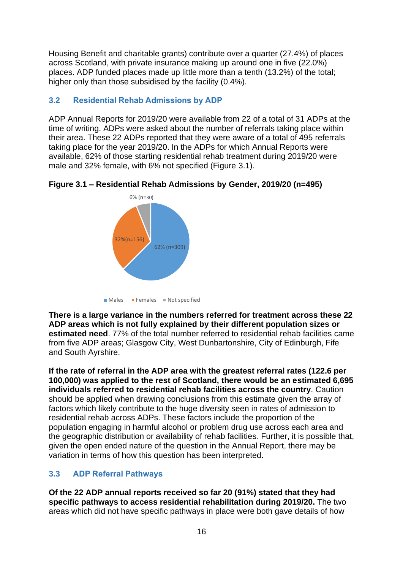Housing Benefit and charitable grants) contribute over a quarter (27.4%) of places across Scotland, with private insurance making up around one in five (22.0%) places. ADP funded places made up little more than a tenth (13.2%) of the total; higher only than those subsidised by the facility (0.4%).

#### **3.2 Residential Rehab Admissions by ADP**

ADP Annual Reports for 2019/20 were available from 22 of a total of 31 ADPs at the time of writing. ADPs were asked about the number of referrals taking place within their area. These 22 ADPs reported that they were aware of a total of 495 referrals taking place for the year 2019/20. In the ADPs for which Annual Reports were available, 62% of those starting residential rehab treatment during 2019/20 were male and 32% female, with 6% not specified (Figure 3.1).



**Figure 3.1 – Residential Rehab Admissions by Gender, 2019/20 (n=495)**

 $\blacksquare$  Males  $\blacksquare$  Females  $\blacksquare$  Not specified

**There is a large variance in the numbers referred for treatment across these 22 ADP areas which is not fully explained by their different population sizes or estimated need**. 77% of the total number referred to residential rehab facilities came from five ADP areas; Glasgow City, West Dunbartonshire, City of Edinburgh, Fife and South Ayrshire.

**If the rate of referral in the ADP area with the greatest referral rates (122.6 per 100,000) was applied to the rest of Scotland, there would be an estimated 6,695 individuals referred to residential rehab facilities across the country**. Caution should be applied when drawing conclusions from this estimate given the array of factors which likely contribute to the huge diversity seen in rates of admission to residential rehab across ADPs. These factors include the proportion of the population engaging in harmful alcohol or problem drug use across each area and the geographic distribution or availability of rehab facilities. Further, it is possible that, given the open ended nature of the question in the Annual Report, there may be variation in terms of how this question has been interpreted.

#### **3.3 ADP Referral Pathways**

**Of the 22 ADP annual reports received so far 20 (91%) stated that they had specific pathways to access residential rehabilitation during 2019/20.** The two areas which did not have specific pathways in place were both gave details of how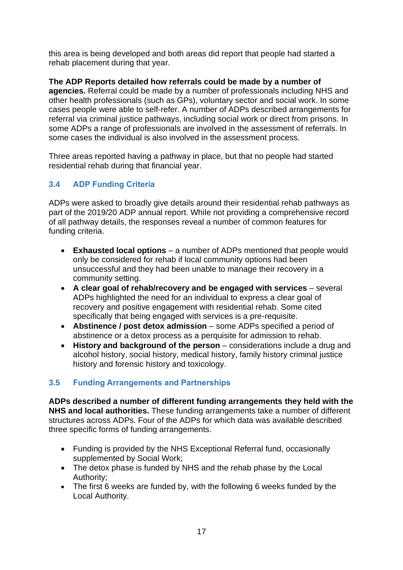this area is being developed and both areas did report that people had started a rehab placement during that year.

**The ADP Reports detailed how referrals could be made by a number of agencies.** Referral could be made by a number of professionals including NHS and other health professionals (such as GPs), voluntary sector and social work. In some cases people were able to self-refer. A number of ADPs described arrangements for referral via criminal justice pathways, including social work or direct from prisons. In some ADPs a range of professionals are involved in the assessment of referrals. In some cases the individual is also involved in the assessment process.

Three areas reported having a pathway in place, but that no people had started residential rehab during that financial year.

#### **3.4 ADP Funding Criteria**

ADPs were asked to broadly give details around their residential rehab pathways as part of the 2019/20 ADP annual report. While not providing a comprehensive record of all pathway details, the responses reveal a number of common features for funding criteria.

- **Exhausted local options** a number of ADPs mentioned that people would only be considered for rehab if local community options had been unsuccessful and they had been unable to manage their recovery in a community setting.
- **A clear goal of rehab/recovery and be engaged with services** several ADPs highlighted the need for an individual to express a clear goal of recovery and positive engagement with residential rehab. Some cited specifically that being engaged with services is a pre-requisite.
- **Abstinence / post detox admission** some ADPs specified a period of abstinence or a detox process as a perquisite for admission to rehab.
- **History and background of the person** considerations include a drug and alcohol history, social history, medical history, family history criminal justice history and forensic history and toxicology.

#### **3.5 Funding Arrangements and Partnerships**

**ADPs described a number of different funding arrangements they held with the NHS and local authorities.** These funding arrangements take a number of different structures across ADPs. Four of the ADPs for which data was available described three specific forms of funding arrangements.

- Funding is provided by the NHS Exceptional Referral fund, occasionally supplemented by Social Work;
- The detox phase is funded by NHS and the rehab phase by the Local Authority;
- The first 6 weeks are funded by, with the following 6 weeks funded by the Local Authority.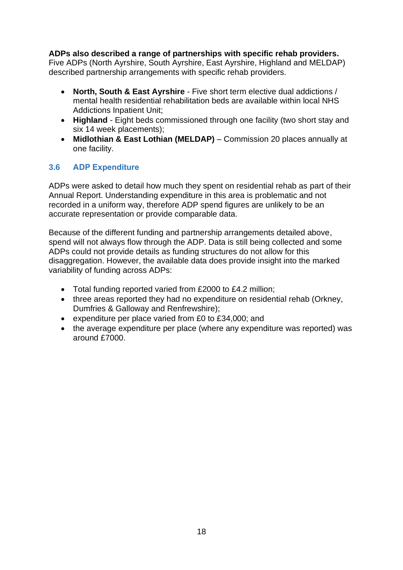#### **ADPs also described a range of partnerships with specific rehab providers.**

Five ADPs (North Ayrshire, South Ayrshire, East Ayrshire, Highland and MELDAP) described partnership arrangements with specific rehab providers.

- **North, South & East Ayrshire** Five short term elective dual addictions / mental health residential rehabilitation beds are available within local NHS Addictions Inpatient Unit;
- **Highland** Eight beds commissioned through one facility (two short stay and six 14 week placements);
- **Midlothian & East Lothian (MELDAP)** Commission 20 places annually at one facility.

#### **3.6 ADP Expenditure**

ADPs were asked to detail how much they spent on residential rehab as part of their Annual Report. Understanding expenditure in this area is problematic and not recorded in a uniform way, therefore ADP spend figures are unlikely to be an accurate representation or provide comparable data.

Because of the different funding and partnership arrangements detailed above, spend will not always flow through the ADP. Data is still being collected and some ADPs could not provide details as funding structures do not allow for this disaggregation. However, the available data does provide insight into the marked variability of funding across ADPs:

- Total funding reported varied from £2000 to £4.2 million;
- three areas reported they had no expenditure on residential rehab (Orkney, Dumfries & Galloway and Renfrewshire);
- expenditure per place varied from £0 to £34,000; and
- the average expenditure per place (where any expenditure was reported) was around £7000.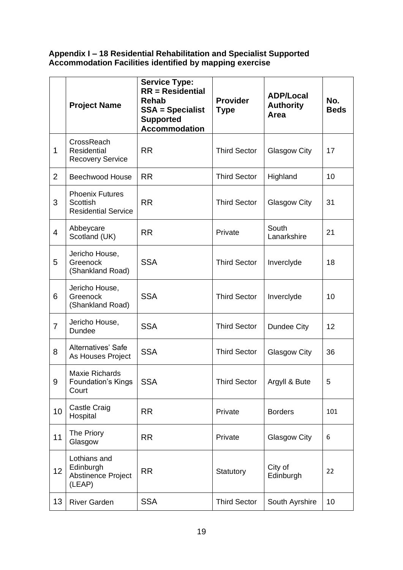#### **Appendix I – 18 Residential Rehabilitation and Specialist Supported Accommodation Facilities identified by mapping exercise**

|                  | <b>Project Name</b>                                              | <b>Service Type:</b><br>$RR = Residental$<br><b>Rehab</b><br><b>SSA = Specialist</b><br><b>Supported</b><br><b>Accommodation</b> | <b>Provider</b><br><b>Type</b> | <b>ADP/Local</b><br><b>Authority</b><br>Area | No.<br><b>Beds</b> |
|------------------|------------------------------------------------------------------|----------------------------------------------------------------------------------------------------------------------------------|--------------------------------|----------------------------------------------|--------------------|
| 1                | CrossReach<br>Residential<br><b>Recovery Service</b>             | <b>RR</b>                                                                                                                        | <b>Third Sector</b>            | Glasgow City                                 | 17                 |
| $\overline{2}$   | <b>Beechwood House</b>                                           | <b>RR</b>                                                                                                                        | <b>Third Sector</b>            | Highland                                     | 10                 |
| 3                | <b>Phoenix Futures</b><br>Scottish<br><b>Residential Service</b> | <b>RR</b>                                                                                                                        | <b>Third Sector</b>            | Glasgow City                                 | 31                 |
| $\overline{4}$   | Abbeycare<br>Scotland (UK)                                       | <b>RR</b>                                                                                                                        | Private                        | South<br>Lanarkshire                         | 21                 |
| 5                | Jericho House,<br>Greenock<br>(Shankland Road)                   | <b>SSA</b>                                                                                                                       | <b>Third Sector</b>            | Inverclyde                                   | 18                 |
| 6                | Jericho House,<br>Greenock<br>(Shankland Road)                   | <b>SSA</b>                                                                                                                       | <b>Third Sector</b>            | Inverclyde                                   | 10                 |
| $\overline{7}$   | Jericho House,<br>Dundee                                         | <b>SSA</b>                                                                                                                       | <b>Third Sector</b>            | Dundee City                                  | 12                 |
| 8                | Alternatives' Safe<br>As Houses Project                          | <b>SSA</b>                                                                                                                       | <b>Third Sector</b>            | <b>Glasgow City</b>                          | 36                 |
| $\boldsymbol{9}$ | <b>Maxie Richards</b><br><b>Foundation's Kings</b><br>Court      | <b>SSA</b>                                                                                                                       | <b>Third Sector</b>            | Argyll & Bute                                | 5                  |
| 10               | <b>Castle Craig</b><br>Hospital                                  | <b>RR</b>                                                                                                                        | Private                        | <b>Borders</b>                               | 101                |
| 11               | The Priory<br>Glasgow                                            | <b>RR</b>                                                                                                                        | Private                        | <b>Glasgow City</b>                          | 6                  |
| 12               | Lothians and<br>Edinburgh<br>Abstinence Project<br>(LEAP)        | <b>RR</b>                                                                                                                        | Statutory                      | City of<br>Edinburgh                         | 22                 |
| 13               | <b>River Garden</b>                                              | <b>SSA</b>                                                                                                                       | <b>Third Sector</b>            | South Ayrshire                               | 10                 |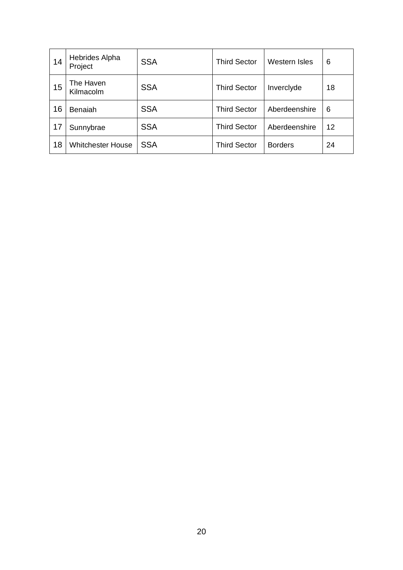| 14 | <b>Hebrides Alpha</b><br>Project | <b>SSA</b> | <b>Third Sector</b> | Western Isles  | 6  |
|----|----------------------------------|------------|---------------------|----------------|----|
| 15 | The Haven<br>Kilmacolm           | <b>SSA</b> | <b>Third Sector</b> | Inverclyde     | 18 |
| 16 | <b>Benaiah</b>                   | <b>SSA</b> | <b>Third Sector</b> | Aberdeenshire  | 6  |
| 17 | Sunnybrae                        | <b>SSA</b> | <b>Third Sector</b> | Aberdeenshire  | 12 |
| 18 | <b>Whitchester House</b>         | <b>SSA</b> | <b>Third Sector</b> | <b>Borders</b> | 24 |